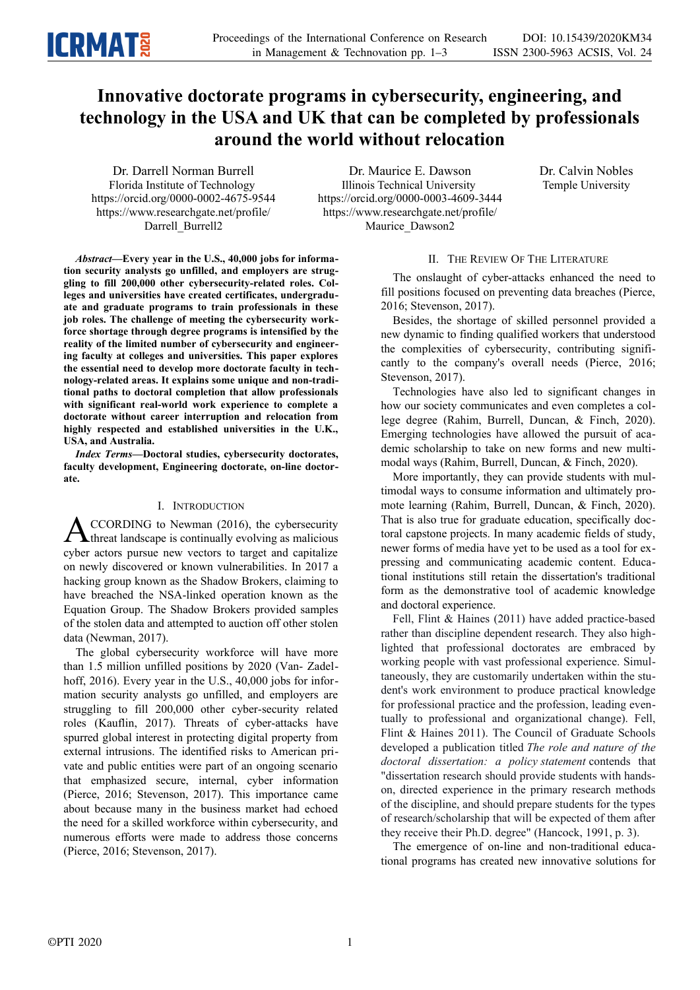

# **Innovative doctorate programs in cybersecurity, engineering, and technology in the USA and UK that can be completed by professionals around the world without relocation**

Dr. Darrell Norman Burrell Florida Institute of Technology https://orcid.org/0000-0002-4675-9544 https://www.researchgate.net/profile/ Darrell Burrell2

Dr. Maurice E. Dawson Illinois Technical University https://orcid.org/0000-0003-4609-3444 https://www.researchgate.net/profile/ Maurice\_Dawson2

Dr. Calvin Nobles Temple University

*Abstract—***Every year in the U.S., 40,000 jobs for information security analysts go unfilled, and employers are struggling to fill 200,000 other cybersecurity-related roles. Colleges and universities have created certificates, undergraduate and graduate programs to train professionals in these job roles. The challenge of meeting the cybersecurity workforce shortage through degree programs is intensified by the reality of the limited number of cybersecurity and engineering faculty at colleges and universities. This paper explores the essential need to develop more doctorate faculty in technology-related areas. It explains some unique and non-traditional paths to doctoral completion that allow professionals with significant real-world work experience to complete a doctorate without career interruption and relocation from highly respected and established universities in the U.K., USA, and Australia.** 

*Index Terms—***Doctoral studies, cybersecurity doctorates, faculty development, Engineering doctorate, on-line doctorate.**

## I. INTRODUCTION

CCORDING to Newman (2016), the cybersecurity  $\triangle$ CCORDING to Newman (2016), the cybersecurity<br>threat landscape is continually evolving as malicious cyber actors pursue new vectors to target and capitalize on newly discovered or known vulnerabilities. In 2017 a hacking group known as the Shadow Brokers, claiming to have breached the NSA-linked operation known as the Equation Group. The Shadow Brokers provided samples of the stolen data and attempted to auction off other stolen data (Newman, 2017).

The global cybersecurity workforce will have more than 1.5 million unfilled positions by 2020 (Van- Zadelhoff, 2016). Every year in the U.S., 40,000 jobs for information security analysts go unfilled, and employers are struggling to fill 200,000 other cyber-security related roles (Kauflin, 2017). Threats of cyber-attacks have spurred global interest in protecting digital property from external intrusions. The identified risks to American private and public entities were part of an ongoing scenario that emphasized secure, internal, cyber information (Pierce, 2016; Stevenson, 2017). This importance came about because many in the business market had echoed the need for a skilled workforce within cybersecurity, and numerous efforts were made to address those concerns (Pierce, 2016; Stevenson, 2017).

# II. THE REVIEW OF THE LITERATURE

The onslaught of cyber-attacks enhanced the need to fill positions focused on preventing data breaches (Pierce, 2016; Stevenson, 2017).

Besides, the shortage of skilled personnel provided a new dynamic to finding qualified workers that understood the complexities of cybersecurity, contributing significantly to the company's overall needs (Pierce, 2016; Stevenson, 2017).

Technologies have also led to significant changes in how our society communicates and even completes a college degree (Rahim, Burrell, Duncan, & Finch, 2020). Emerging technologies have allowed the pursuit of academic scholarship to take on new forms and new multimodal ways (Rahim, Burrell, Duncan, & Finch, 2020).

More importantly, they can provide students with multimodal ways to consume information and ultimately promote learning (Rahim, Burrell, Duncan, & Finch, 2020). That is also true for graduate education, specifically doctoral capstone projects. In many academic fields of study, newer forms of media have yet to be used as a tool for expressing and communicating academic content. Educational institutions still retain the dissertation's traditional form as the demonstrative tool of academic knowledge and doctoral experience.

Fell, Flint & Haines (2011) have added practice-based rather than discipline dependent research. They also highlighted that professional doctorates are embraced by working people with vast professional experience. Simultaneously, they are customarily undertaken within the student's work environment to produce practical knowledge for professional practice and the profession, leading eventually to professional and organizational change). Fell, Flint & Haines 2011). The Council of Graduate Schools developed a publication titled *The role and nature of the doctoral dissertation: a policy statement* contends that "dissertation research should provide students with handson, directed experience in the primary research methods of the discipline, and should prepare students for the types of research/scholarship that will be expected of them after they receive their Ph.D. degree" (Hancock, 1991, p. 3).

The emergence of on-line and non-traditional educational programs has created new innovative solutions for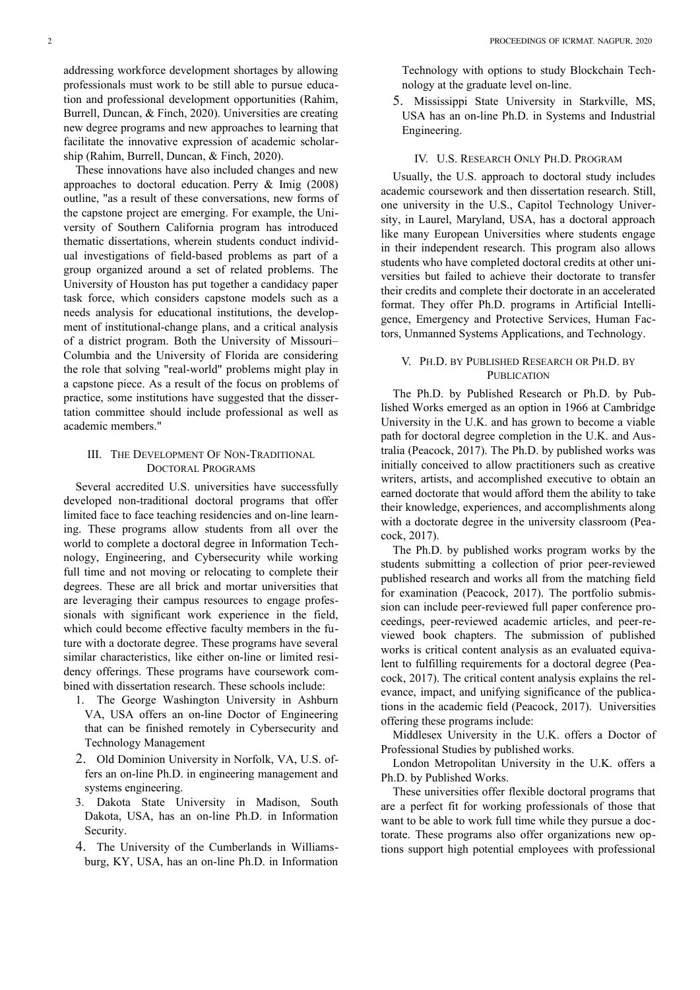addressing workforce development shortages by allowing professionals must work to be still able to pursue education and professional development opportunities (Rahim, Burrell, Duncan, & Finch, 2020). Universities are creating new degree programs and new approaches to learning that facilitate the innovative expression of academic scholarship (Rahim, Burrell, Duncan, & Finch, 2020).

These innovations have also included changes and new approaches to doctoral education. Perry & Imig (2008) outline, "as a result of these conversations, new forms of the capstone project are emerging. For example, the University of Southern California program has introduced thematic dissertations, wherein students conduct individual investigations of field-based problems as part of a group organized around a set of related problems. The University of Houston has put together a candidacy paper task force, which considers capstone models such as a needs analysis for educational institutions, the development of institutional-change plans, and a critical analysis of a district program. Both the University of Missouri– Columbia and the University of Florida are considering the role that solving "real-world" problems might play in a capstone piece. As a result of the focus on problems of practice, some institutions have suggested that the dissertation committee should include professional as well as academic members."

# III. THE DEVELOPMENT OF NON-TRADITIONAL DOCTORAL PROGRAMS

Several accredited U.S. universities have successfully developed non-traditional doctoral programs that offer limited face to face teaching residencies and on-line learning. These programs allow students from all over the world to complete a doctoral degree in Information Technology, Engineering, and Cybersecurity while working full time and not moving or relocating to complete their degrees. These are all brick and mortar universities that are leveraging their campus resources to engage professionals with significant work experience in the field, which could become effective faculty members in the future with a doctorate degree. These programs have several similar characteristics, like either on-line or limited residency offerings. These programs have coursework combined with dissertation research. These schools include:

- 1. The George Washington University in Ashburn VA, USA offers an on-line Doctor of Engineering that can be finished remotely in Cybersecurity and Technology Management
- 2. Old Dominion University in Norfolk, VA, U.S. offers an on-line Ph.D. in engineering management and systems engineering.
- 3. Dakota State University in Madison, South Dakota, USA, has an on-line Ph.D. in Information Security.
- 4. The University of the Cumberlands in Williamsburg, KY, USA, has an on-line Ph.D. in Information

Technology with options to study Blockchain Technology at the graduate level on-line.

5. Mississippi State University in Starkville, MS, USA has an on-line Ph.D. in Systems and Industrial Engineering.

#### IV. U.S. RESEARCH ONLY PH.D. PROGRAM

Usually, the U.S. approach to doctoral study includes academic coursework and then dissertation research. Still, one university in the U.S., Capitol Technology University, in Laurel, Maryland, USA, has a doctoral approach like many European Universities where students engage in their independent research. This program also allows students who have completed doctoral credits at other universities but failed to achieve their doctorate to transfer their credits and complete their doctorate in an accelerated format. They offer Ph.D. programs in Artificial Intelligence, Emergency and Protective Services, Human Factors, Unmanned Systems Applications, and Technology.

## V. PH.D. BY PUBLISHED RESEARCH OR PH.D. BY **PUBLICATION**

The Ph.D. by Published Research or Ph.D. by Published Works emerged as an option in 1966 at Cambridge University in the U.K. and has grown to become a viable path for doctoral degree completion in the U.K. and Australia (Peacock, 2017). The Ph.D. by published works was initially conceived to allow practitioners such as creative writers, artists, and accomplished executive to obtain an earned doctorate that would afford them the ability to take their knowledge, experiences, and accomplishments along with a doctorate degree in the university classroom (Peacock, 2017).

The Ph.D. by published works program works by the students submitting a collection of prior peer-reviewed published research and works all from the matching field for examination (Peacock, 2017). The portfolio submission can include peer-reviewed full paper conference proceedings, peer-reviewed academic articles, and peer-reviewed book chapters. The submission of published works is critical content analysis as an evaluated equivalent to fulfilling requirements for a doctoral degree (Peacock, 2017). The critical content analysis explains the relevance, impact, and unifying significance of the publications in the academic field (Peacock, 2017). Universities offering these programs include:

Middlesex University in the U.K. offers a Doctor of Professional Studies by published works.

London Metropolitan University in the U.K. offers a Ph.D. by Published Works.

These universities offer flexible doctoral programs that are a perfect fit for working professionals of those that want to be able to work full time while they pursue a doctorate. These programs also offer organizations new options support high potential employees with professional